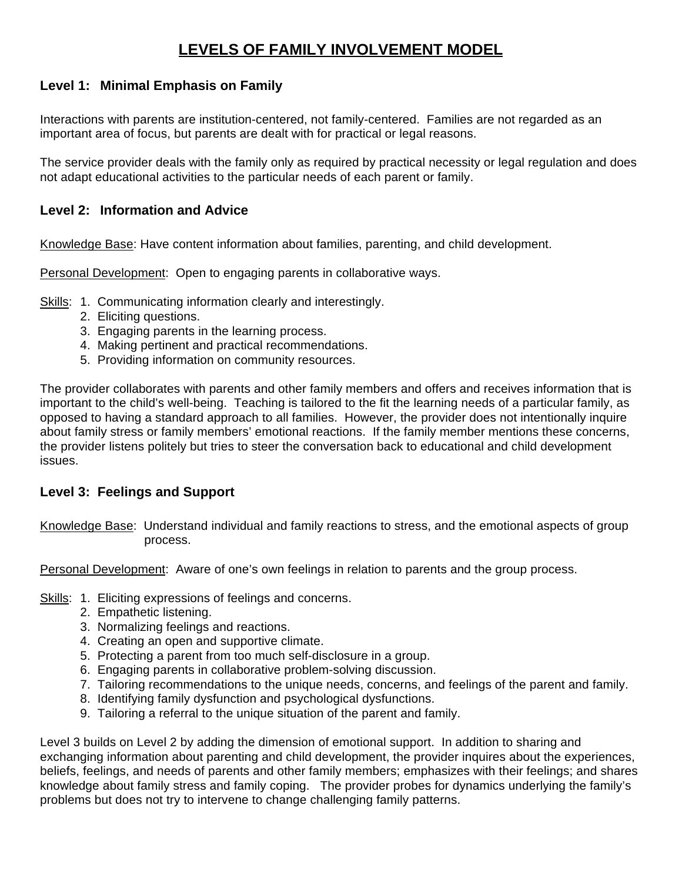# **LEVELS OF FAMILY INVOLVEMENT MODEL**

## **Level 1: Minimal Emphasis on Family**

Interactions with parents are institution-centered, not family-centered. Families are not regarded as an important area of focus, but parents are dealt with for practical or legal reasons.

The service provider deals with the family only as required by practical necessity or legal regulation and does not adapt educational activities to the particular needs of each parent or family.

### **Level 2: Information and Advice**

Knowledge Base: Have content information about families, parenting, and child development.

Personal Development: Open to engaging parents in collaborative ways.

Skills: 1. Communicating information clearly and interestingly.

- 2. Eliciting questions.
- 3. Engaging parents in the learning process.
- 4. Making pertinent and practical recommendations.
- 5. Providing information on community resources.

The provider collaborates with parents and other family members and offers and receives information that is important to the child's well-being. Teaching is tailored to the fit the learning needs of a particular family, as opposed to having a standard approach to all families. However, the provider does not intentionally inquire about family stress or family members' emotional reactions. If the family member mentions these concerns, the provider listens politely but tries to steer the conversation back to educational and child development issues.

#### **Level 3: Feelings and Support**

Knowledge Base: Understand individual and family reactions to stress, and the emotional aspects of group process.

Personal Development: Aware of one's own feelings in relation to parents and the group process.

Skills: 1. Eliciting expressions of feelings and concerns.

- 2. Empathetic listening.
- 3. Normalizing feelings and reactions.
- 4. Creating an open and supportive climate.
- 5. Protecting a parent from too much self-disclosure in a group.
- 6. Engaging parents in collaborative problem-solving discussion.
- 7. Tailoring recommendations to the unique needs, concerns, and feelings of the parent and family.
- 8. Identifying family dysfunction and psychological dysfunctions.
- 9. Tailoring a referral to the unique situation of the parent and family.

Level 3 builds on Level 2 by adding the dimension of emotional support. In addition to sharing and exchanging information about parenting and child development, the provider inquires about the experiences, beliefs, feelings, and needs of parents and other family members; emphasizes with their feelings; and shares knowledge about family stress and family coping. The provider probes for dynamics underlying the family's problems but does not try to intervene to change challenging family patterns.